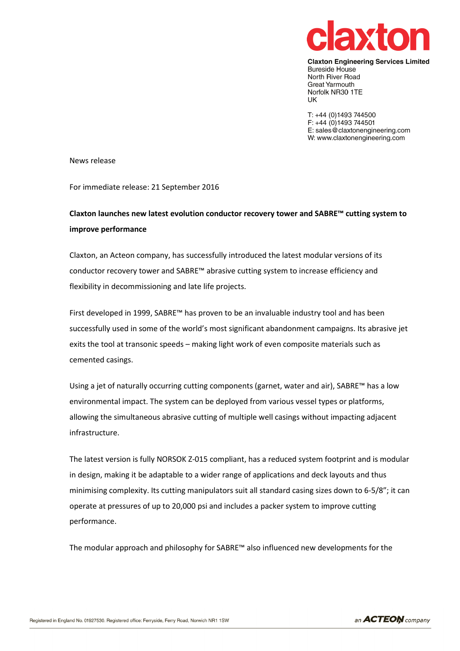

**Claxton Engineering Services Limited Bureside House** North River Road Great Yarmouth Norfolk NR30 1TE **UK** 

T: +44 (0)1493 744500 F: +44  $(0)$ 1493 744501 E: sales@claxtonengineering.com W: www.claxtonengineering.com

News release

For immediate release: 21 September 2016

# Claxton launches new latest evolution conductor recovery tower and SABRE™ cutting system to improve performance

Claxton, an Acteon company, has successfully introduced the latest modular versions of its conductor recovery tower and SABRE™ abrasive cutting system to increase efficiency and flexibility in decommissioning and late life projects.

First developed in 1999, SABRE™ has proven to be an invaluable industry tool and has been successfully used in some of the world's most significant abandonment campaigns. Its abrasive jet exits the tool at transonic speeds – making light work of even composite materials such as cemented casings.

Using a jet of naturally occurring cutting components (garnet, water and air), SABRE™ has a low environmental impact. The system can be deployed from various vessel types or platforms, allowing the simultaneous abrasive cutting of multiple well casings without impacting adjacent infrastructure.

The latest version is fully NORSOK Z-015 compliant, has a reduced system footprint and is modular in design, making it be adaptable to a wider range of applications and deck layouts and thus minimising complexity. Its cutting manipulators suit all standard casing sizes down to 6-5/8"; it can operate at pressures of up to 20,000 psi and includes a packer system to improve cutting performance.

The modular approach and philosophy for SABRE™ also influenced new developments for the

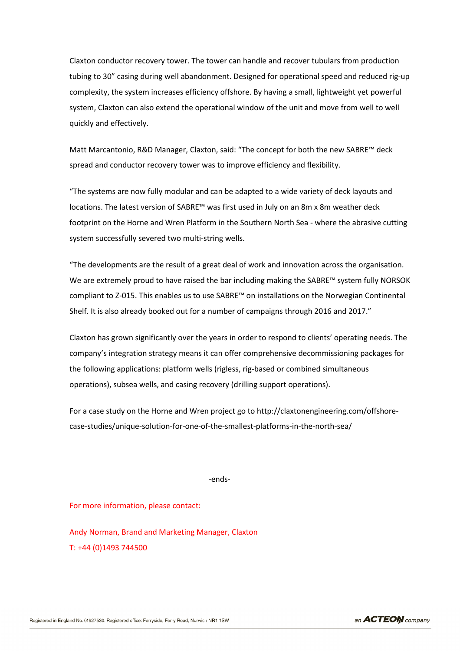Claxton conductor recovery tower. The tower can handle and recover tubulars from production tubing to 30" casing during well abandonment. Designed for operational speed and reduced rig-up complexity, the system increases efficiency offshore. By having a small, lightweight yet powerful system, Claxton can also extend the operational window of the unit and move from well to well quickly and effectively.

Matt Marcantonio, R&D Manager, Claxton, said: "The concept for both the new SABRE™ deck spread and conductor recovery tower was to improve efficiency and flexibility.

"The systems are now fully modular and can be adapted to a wide variety of deck layouts and locations. The latest version of SABRE™ was first used in July on an 8m x 8m weather deck footprint on the Horne and Wren Platform in the Southern North Sea - where the abrasive cutting system successfully severed two multi-string wells.

"The developments are the result of a great deal of work and innovation across the organisation. We are extremely proud to have raised the bar including making the SABRE™ system fully NORSOK compliant to Z-015. This enables us to use SABRE™ on installations on the Norwegian Continental Shelf. It is also already booked out for a number of campaigns through 2016 and 2017."

Claxton has grown significantly over the years in order to respond to clients' operating needs. The company's integration strategy means it can offer comprehensive decommissioning packages for the following applications: platform wells (rigless, rig-based or combined simultaneous operations), subsea wells, and casing recovery (drilling support operations).

For a case study on the Horne and Wren project go to http://claxtonengineering.com/offshorecase-studies/unique-solution-for-one-of-the-smallest-platforms-in-the-north-sea/

-ends-

For more information, please contact:

Andy Norman, Brand and Marketing Manager, Claxton T: +44 (0)1493 744500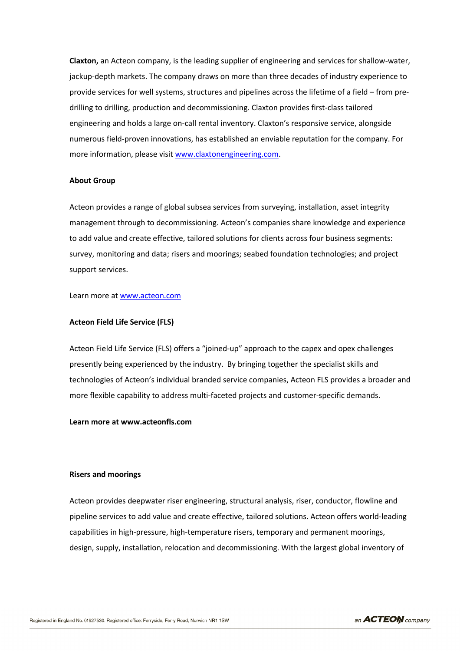Claxton, an Acteon company, is the leading supplier of engineering and services for shallow-water, jackup-depth markets. The company draws on more than three decades of industry experience to provide services for well systems, structures and pipelines across the lifetime of a field – from predrilling to drilling, production and decommissioning. Claxton provides first-class tailored engineering and holds a large on-call rental inventory. Claxton's responsive service, alongside numerous field-proven innovations, has established an enviable reputation for the company. For more information, please visit www.claxtonengineering.com.

#### About Group

Acteon provides a range of global subsea services from surveying, installation, asset integrity management through to decommissioning. Acteon's companies share knowledge and experience to add value and create effective, tailored solutions for clients across four business segments: survey, monitoring and data; risers and moorings; seabed foundation technologies; and project support services.

Learn more at www.acteon.com

#### Acteon Field Life Service (FLS)

Acteon Field Life Service (FLS) offers a "joined-up" approach to the capex and opex challenges presently being experienced by the industry. By bringing together the specialist skills and technologies of Acteon's individual branded service companies, Acteon FLS provides a broader and more flexible capability to address multi-faceted projects and customer-specific demands.

## Learn more at www.acteonfls.com

### Risers and moorings

Acteon provides deepwater riser engineering, structural analysis, riser, conductor, flowline and pipeline services to add value and create effective, tailored solutions. Acteon offers world-leading capabilities in high-pressure, high-temperature risers, temporary and permanent moorings, design, supply, installation, relocation and decommissioning. With the largest global inventory of